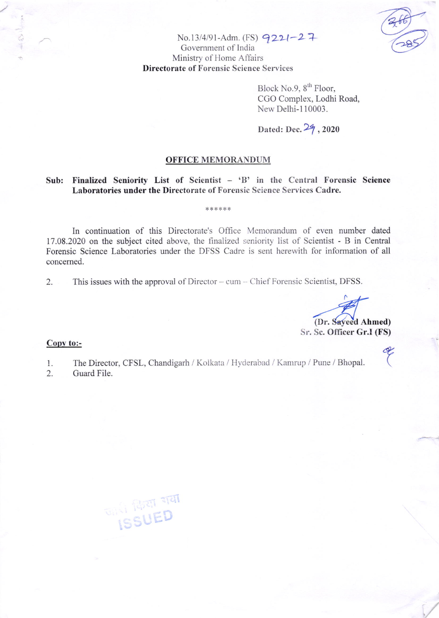

No.13/4/91-Adm. (FS) 9221-27 Government of India Ministry of Home Affairs **Directorate of Forensic Science Services** 

> Block No.9, 8<sup>th</sup> Floor, CGO Complex, Lodhi Road, New Delhi-110003.

### Dated: Dec. 29, 2020

### **OFFICE MEMORANDUM**

### Sub: Finalized Seniority List of Scientist - 'B' in the Central Forensic Science Laboratories under the Directorate of Forensic Science Services Cadre.

\*\*\*\*\*\*

In continuation of this Directorate's Office Memorandum of even number dated 17.08.2020 on the subject cited above, the finalized seniority list of Scientist - B in Central Forensic Science Laboratories under the DFSS Cadre is sent herewith for information of all concerned.

This issues with the approval of Director – cum – Chief Forensic Scientist, DFSS. 2.

(Dr. Sayeed Ahmed) Sr. Sc. Officer Gr.I (FS)

### Copy to:-

The Director, CFSL, Chandigarh / Kolkata / Hyderabad / Kamrup / Pune / Bhopal.  $\mathbb{1}$ .

2. Guard File.

**ONED ISSUED**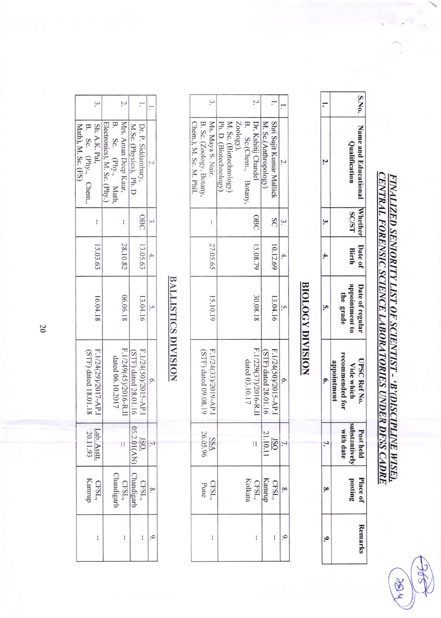FINALIZED SENIORITY LIST OF SCIENTIST - 'B'(DISCIPLINE WISE).<br><u>CENTRAL FORENSIC SCIENCE LABORATORIES UNDER DFSS CADRE</u>

 $\frac{1}{2}$ 

TOR

|  |                 |                      | S.No                 |
|--|-----------------|----------------------|----------------------|
|  |                 | <b>Qualificatio.</b> | Name and Educationa. |
|  |                 | <b>SC/S1</b>         | <b>Vhethe</b>        |
|  |                 | Birth                | Date of              |
|  | the grade       | poıntmen             | Date of regular      |
|  | -ecommended for | <b>Vide whicl</b>    | <b>UPSC Ref No</b>   |
|  | vith dat        |                      |                      |
|  |                 |                      | Place 0              |
|  |                 |                      |                      |

## **BIOLOGY DIVISION**

|                                                                         |                       |                                    |                       | 7.                    |                                     |                          |  |
|-------------------------------------------------------------------------|-----------------------|------------------------------------|-----------------------|-----------------------|-------------------------------------|--------------------------|--|
| Chem.), M. Sc. M. Phil.<br>Ms. Maya S. Nair<br>B. Sc. (Zoology, Botany, | Ph. D. (Biotechnology | M. Sc. (Biotechnology)<br>Zoology) | B. Sc.(Chem., Botany, | Dr. Kshitij Chandel   | M. Sc.(Anthropology                 | Shri Sujit Kumar Mallick |  |
| í                                                                       |                       |                                    |                       | OBC                   |                                     | SC                       |  |
| 27.05.65                                                                |                       |                                    |                       | 15.08.79              |                                     | 10.12.69                 |  |
| 15.10.19                                                                |                       |                                    |                       | 30.08.18              |                                     | 13.04.16                 |  |
| F.1/24(33)/2019-AP.I<br>(STF) dated 09.08.19                            |                       |                                    | dated 03.10.17        | F.1/229(37)/2016-R.II | (STF) dated 28.01.16                | F.1/24(50)/2015-AP.I     |  |
| $\frac{SSA}{26.05.96}$                                                  |                       |                                    |                       | Η                     | $\frac{180}{21.10.1}$               |                          |  |
| CFSL.<br>Pune                                                           |                       |                                    |                       |                       | CFSL,<br>Kamrur<br>CFSL,<br>Kolkata |                          |  |
| I                                                                       |                       |                                    |                       | I                     |                                     | I                        |  |

# **BALLISTICS DIVISION**

| Math), M. Sc. (FS) | B. Sc. (Phy., Chem., | Sh. A.K. Pal,               | Electronics), M. Sc. (Phy.) | B. Sc. (Phy., Math, | Mrs. Aman Deep Kaur,                       | M.Sc. (Physics), Ph. D | Dr. P. Siddambary,               |  |
|--------------------|----------------------|-----------------------------|-----------------------------|---------------------|--------------------------------------------|------------------------|----------------------------------|--|
|                    |                      | í                           |                             |                     |                                            |                        | OBC                              |  |
|                    |                      | 15.03.63                    |                             |                     | 28.10.82                                   |                        | 13.05.63                         |  |
|                    |                      | 16.04.18                    |                             |                     | 06.06.18                                   |                        | 13.04.16                         |  |
|                    | (STF) dated 18.01.18 | F.1/24(29)/2017-AP.I        |                             | dated 06.10.2017    | F.1/249(45)/2016-R.II                      | (STF) dated 28.01.16   | F.1/24(50)/2015-AP.1             |  |
|                    |                      | Lab. Asstt<br>20.11.93      |                             |                     | H                                          |                        | $\frac{180}{05.2.01(\text{AN})}$ |  |
|                    |                      | CFSL,<br>Kamru <sub>f</sub> |                             |                     | CFSL,<br>Chandigarl<br>CFSL,<br>Chandigarl |                        |                                  |  |
|                    |                      | $\mathbf{I}$                |                             |                     | I                                          |                        |                                  |  |

20